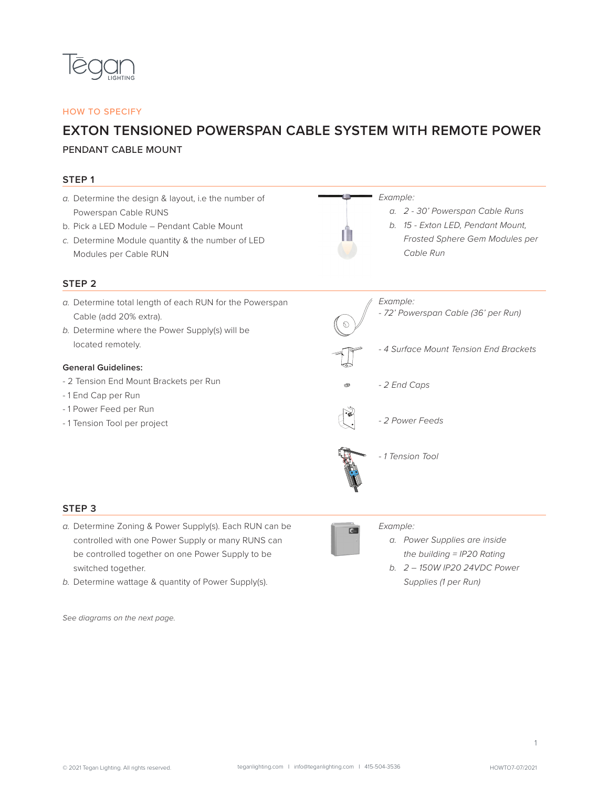

## HOW TO SPECIFY

## **EXTON TENSIONED POWERSPAN CABLE SYSTEM WITH REMOTE POWER**

## PENDANT CABLE MOUNT

| STEP <sub>1</sub>                                                                                                                                                                                      |                                                                                                                                 |
|--------------------------------------------------------------------------------------------------------------------------------------------------------------------------------------------------------|---------------------------------------------------------------------------------------------------------------------------------|
| a. Determine the design & layout, i.e the number of<br>Powerspan Cable RUNS<br>b. Pick a LED Module - Pendant Cable Mount<br>c. Determine Module quantity & the number of LED<br>Modules per Cable RUN | Example:<br>a. 2 - 30' Powerspan Cable Runs<br>b. 15 - Exton LED, Pendant Mount,<br>Frosted Sphere Gem Modules per<br>Cable Run |
| STEP <sub>2</sub>                                                                                                                                                                                      |                                                                                                                                 |
| a. Determine total length of each RUN for the Powerspan<br>Cable (add 20% extra).<br>b. Determine where the Power Supply(s) will be                                                                    | Example:<br>- 72' Powerspan Cable (36' per Run)                                                                                 |
| located remotely.                                                                                                                                                                                      | - 4 Surface Mount Tension End Brackets                                                                                          |
| <b>General Guidelines:</b><br>- 2 Tension End Mount Brackets per Run<br>-1 End Cap per Run                                                                                                             | - 2 End Caps<br>⊛                                                                                                               |
| -1 Power Feed per Run<br>-1 Tension Tool per project                                                                                                                                                   | - 2 Power Feeds                                                                                                                 |
|                                                                                                                                                                                                        | - 1 Tension Tool                                                                                                                |
| STEP <sub>3</sub>                                                                                                                                                                                      |                                                                                                                                 |
| a. Determine Zoning & Power Supply(s). Each RUN can be<br>controlled with one Power Supply or many RUNS can                                                                                            | Example:<br>$\epsilon$<br>a. Power Supplies are inside                                                                          |

- controlled with one Power Supply or many RUNS can be controlled together on one Power Supply to be switched together.
- *b.* Determine wattage & quantity of Power Supply(s).

*See diagrams on the next page.* 

*the building = IP20 Rating b. 2 – 150W IP20 24VDC Power Supplies (1 per Run)*